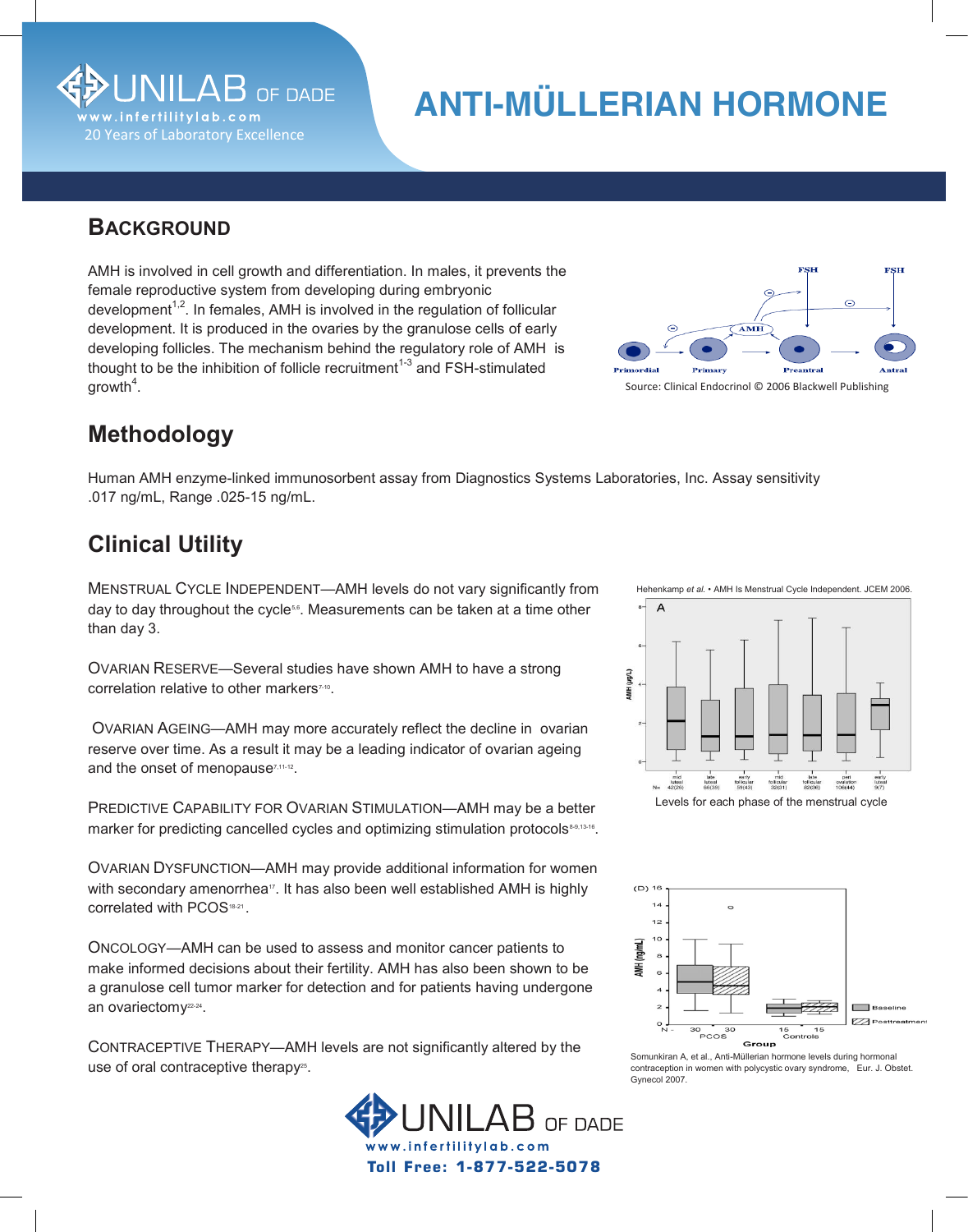

# **ANTI-MULLERIAN HADIS ANTI-MÜLLERIAN HORMONE HORMONE**

#### **BACKGROUND**

female reproductive system from developing during embryonic development<sup>1,2</sup>. In females, AMH is involved in the regulation of follicular development. It is produced in the ovaries by the granulose cells of early developing follicles. The mechanism behind the regulatory role of AMH is thought to be the inhibition of follicle recruitment<sup>1-3</sup> and FSH-stimulated  $\mathsf{growth}^\ast.$ AMH is involved in cell growth and differentiation. In males, it prevents the growth $^4$ .



## **Methodology**

.017 ng/mL, Range .025-15 ng/mL. Human AMH enzyme-linked immunosorbent assay from Diagnostics Systems Laboratories, Inc. Assay sensitivity

w w w . i n f e r t i I i l t y l a b . c o m

### **Clinical Utility**

day to day throughout the cycle℠. Measurements can be taken at a time other  $\alpha$  than day to day throughout the cycles $\alpha$  throughout the cycles can be taken at a time other other other other other other other other other other other other other other other other other other other other other oth MENSTRUAL CYCLE INDEPENDENT—AMH levels do not vary significantly from than day 3.

correlation relative to other markers<sup>7-10</sup>. OVARIAN RESERVE—Several studies have shown AMH to have a strong

reserve over time. As a result it may be a leading indicator of ovarian ageing and the onset of menopause<sup> $7,11-12$ </sup>. OVARIAN AGEING—AMH may more accurately reflect the decline in ovarian

marker for predicting cancelled cycles and optimizing stimulation protocols<sup>&&,13-16</sup>. PREDICTIVE CAPABILITY FOR OVARIAN STIMULATION—AMH may be a better

with secondary amenorrhea $^{\scriptscriptstyle\mathsf{17}}$ . It has also been well established AMH is highly correlated with PCOS<sup>18-21</sup>. OVARIAN DYSFUNCTION—AMH may provide additional information for women

make informed decisions about their fertility. AMH has also been shown to be a granulose cell tumor marker for detection and for patients having undergone an ovariectomy<sup>22-24</sup>. ONCOLOGY—AMH can be used to assess and monitor cancer patients to

use of oral contraceptive therapy<sup>25</sup>. CONTRACEPTIVE THERAPY—AMH levels are not significantly altered by the







Gynecol 2007. **A, et al., Anti-Müllerian hormone levels during hormone levels during hormone levels during hormone levels during hormone levels during hormone levels during hormone levels during hormone levels during hormo** Somunkiran A, et al., Anti-Müllerian hormone levels during hormonal contraception in women with polycystic ovary syndrome, Eur. J. Obstet.